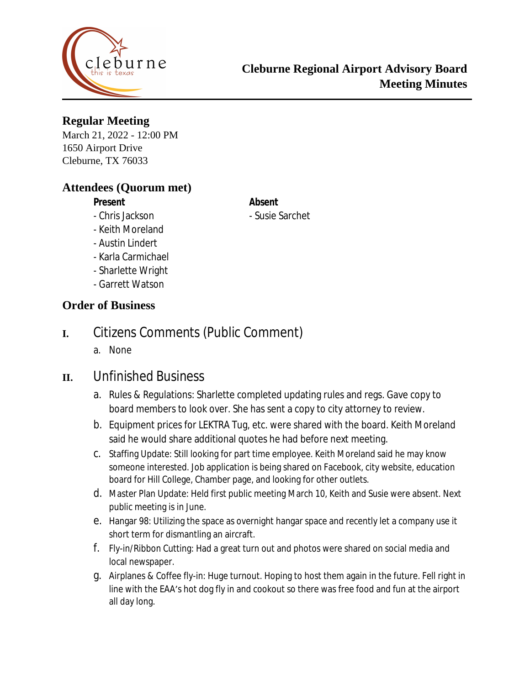

### **Regular Meeting**

March 21, 2022 - 12:00 PM 1650 Airport Drive Cleburne, TX 76033

#### **Attendees (Quorum met)**

### **Present Absent**

- Chris Jackson - Susie Sarchet

#### - Keith Moreland

- Austin Lindert
- Karla Carmichael
- Sharlette Wright
- Garrett Watson

#### **Order of Business**

# **I.** Citizens Comments (Public Comment)

a. None

# **II.** Unfinished Business

- a. Rules & Regulations: Sharlette completed updating rules and regs. Gave copy to board members to look over. She has sent a copy to city attorney to review.
- b. Equipment prices for LEKTRA Tug, etc. were shared with the board. Keith Moreland said he would share additional quotes he had before next meeting.
- c. Staffing Update: Still looking for part time employee. Keith Moreland said he may know someone interested. Job application is being shared on Facebook, city website, education board for Hill College, Chamber page, and looking for other outlets.
- d. Master Plan Update: Held first public meeting March 10, Keith and Susie were absent. Next public meeting is in June.
- e. Hangar 98: Utilizing the space as overnight hangar space and recently let a company use it short term for dismantling an aircraft.
- f. Fly-in/Ribbon Cutting: Had a great turn out and photos were shared on social media and local newspaper.
- g. Airplanes & Coffee fly-in: Huge turnout. Hoping to host them again in the future. Fell right in line with the EAA's hot dog fly in and cookout so there was free food and fun at the airport all day long.